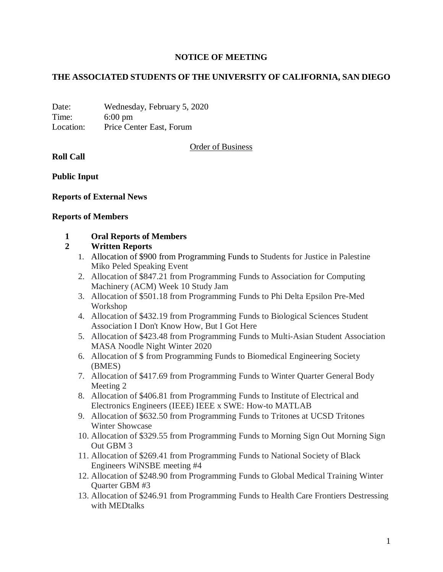### **NOTICE OF MEETING**

### **THE ASSOCIATED STUDENTS OF THE UNIVERSITY OF CALIFORNIA, SAN DIEGO**

Date: Wednesday, February 5, 2020 Time: 6:00 pm Location: Price Center East, Forum

Order of Business

#### **Roll Call**

**Public Input**

#### **Reports of External News**

#### **Reports of Members**

#### **1 Oral Reports of Members**

#### **2 Written Reports**

- 1. Allocation of \$900 from Programming Funds to Students for Justice in Palestine Miko Peled Speaking Event
- 2. Allocation of \$847.21 from Programming Funds to Association for Computing Machinery (ACM) Week 10 Study Jam
- 3. Allocation of \$501.18 from Programming Funds to Phi Delta Epsilon Pre-Med Workshop
- 4. Allocation of \$432.19 from Programming Funds to Biological Sciences Student Association I Don't Know How, But I Got Here
- 5. Allocation of \$423.48 from Programming Funds to Multi-Asian Student Association MASA Noodle Night Winter 2020
- 6. Allocation of \$ from Programming Funds to Biomedical Engineering Society (BMES)
- 7. Allocation of \$417.69 from Programming Funds to Winter Quarter General Body Meeting 2
- 8. Allocation of \$406.81 from Programming Funds to Institute of Electrical and Electronics Engineers (IEEE) IEEE x SWE: How-to MATLAB
- 9. Allocation of \$632.50 from Programming Funds to Tritones at UCSD Tritones Winter Showcase
- 10. Allocation of \$329.55 from Programming Funds to Morning Sign Out Morning Sign Out GBM 3
- 11. Allocation of \$269.41 from Programming Funds to National Society of Black Engineers WiNSBE meeting #4
- 12. Allocation of \$248.90 from Programming Funds to Global Medical Training Winter Quarter GBM #3
- 13. Allocation of \$246.91 from Programming Funds to Health Care Frontiers Destressing with MEDtalks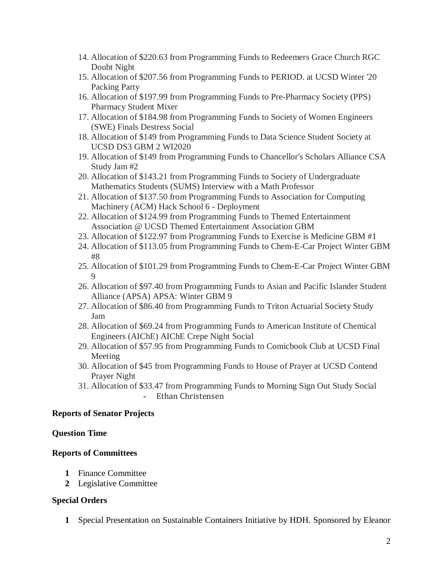- 14. Allocation of \$220.63 from Programming Funds to Redeemers Grace Church RGC Doubt Night
- 15. Allocation of \$207.56 from Programming Funds to PERIOD. at UCSD Winter '20 Packing Party
- 16. Allocation of \$197.99 from Programming Funds to Pre-Pharmacy Society (PPS) Pharmacy Student Mixer
- 17. Allocation of \$184.98 from Programming Funds to Society of Women Engineers (SWE) Finals Destress Social
- 18. Allocation of \$149 from Programming Funds to Data Science Student Society at UCSD DS3 GBM 2 WI2020
- 19. Allocation of \$149 from Programming Funds to Chancellor's Scholars Alliance CSA Study Jam #2
- 20. Allocation of \$143.21 from Programming Funds to Society of Undergraduate Mathematics Students (SUMS) Interview with a Math Professor
- 21. Allocation of \$137.50 from Programming Funds to Association for Computing Machinery (ACM) Hack School 6 - Deployment
- 22. Allocation of \$124.99 from Programming Funds to Themed Entertainment Association @ UCSD Themed Entertainment Association GBM
- 23. Allocation of \$122.97 from Programming Funds to Exercise is Medicine GBM #1
- 24. Allocation of \$113.05 from Programming Funds to Chem-E-Car Project Winter GBM #8
- 25. Allocation of \$101.29 from Programming Funds to Chem-E-Car Project Winter GBM 9
- 26. Allocation of \$97.40 from Programming Funds to Asian and Pacific Islander Student Alliance (APSA) APSA: Winter GBM 9
- 27. Allocation of \$86.40 from Programming Funds to Triton Actuarial Society Study Jam
- 28. Allocation of \$69.24 from Programming Funds to American Institute of Chemical Engineers (AIChE) AIChE Crepe Night Social
- 29. Allocation of \$57.95 from Programming Funds to Comicbook Club at UCSD Final Meeting
- 30. Allocation of \$45 from Programming Funds to House of Prayer at UCSD Contend Prayer Night
- 31. Allocation of \$33.47 from Programming Funds to Morning Sign Out Study Social - Ethan Christensen

### **Reports of Senator Projects**

### **Question Time**

# **Reports of Committees**

- **1** Finance Committee
- **2** Legislative Committee

### **Special Orders**

**1** Special Presentation on Sustainable Containers Initiative by HDH. Sponsored by Eleanor